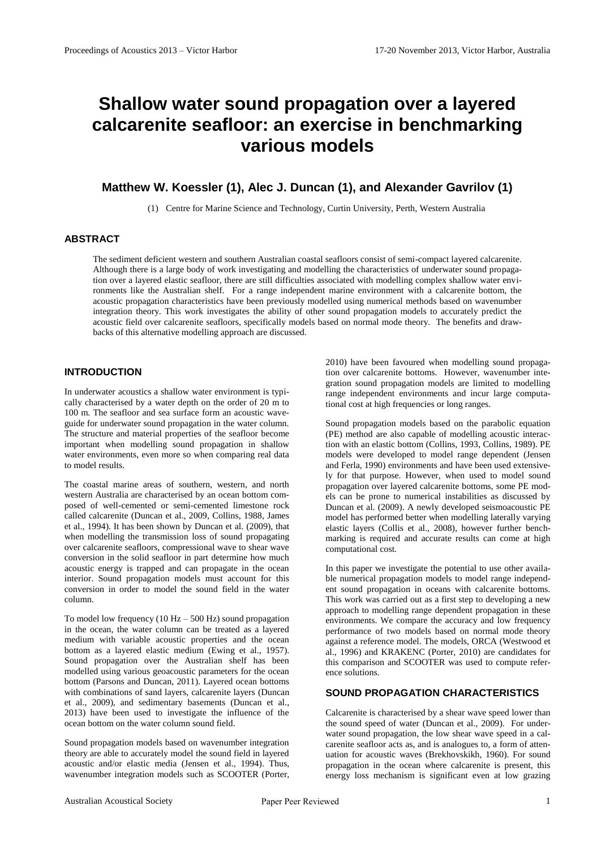# **Shallow water sound propagation over a layered calcarenite seafloor: an exercise in benchmarking various models**

# **Matthew W. Koessler (1), Alec J. Duncan (1), and Alexander Gavrilov (1)**

(1) Centre for Marine Science and Technology, Curtin University, Perth, Western Australia

## **ABSTRACT**

The sediment deficient western and southern Australian coastal seafloors consist of semi-compact layered calcarenite. Although there is a large body of work investigating and modelling the characteristics of underwater sound propagation over a layered elastic seafloor, there are still difficulties associated with modelling complex shallow water environments like the Australian shelf. For a range independent marine environment with a calcarenite bottom, the acoustic propagation characteristics have been previously modelled using numerical methods based on wavenumber integration theory. This work investigates the ability of other sound propagation models to accurately predict the acoustic field over calcarenite seafloors, specifically models based on normal mode theory. The benefits and drawbacks of this alternative modelling approach are discussed.

### **INTRODUCTION**

In underwater acoustics a shallow water environment is typically characterised by a water depth on the order of 20 m to 100 m. The seafloor and sea surface form an acoustic waveguide for underwater sound propagation in the water column. The structure and material properties of the seafloor become important when modelling sound propagation in shallow water environments, even more so when comparing real data to model results.

The coastal marine areas of southern, western, and north western Australia are characterised by an ocean bottom composed of well-cemented or semi-cemented limestone rock called calcarenite (Duncan et al., 2009, Collins, 1988, [James](#page-3-0)  [et al., 1994\)](#page-3-0). It has been shown by Duncan et al. (2009), that when modelling the transmission loss of sound propagating over calcarenite seafloors, compressional wave to shear wave conversion in the solid seafloor in part determine how much acoustic energy is trapped and can propagate in the ocean interior. Sound propagation models must account for this conversion in order to model the sound field in the water column.

To model low frequency  $(10 Hz - 500 Hz)$  sound propagation in the ocean, the water column can be treated as a layered medium with variable acoustic properties and the ocean bottom as a layered elastic medium [\(Ewing et al., 1957\)](#page-3-1). Sound propagation over the Australian shelf has been modelled using various geoacoustic parameters for the ocean bottom [\(Parsons and Duncan, 2011\)](#page-3-2). Layered ocean bottoms with combinations of sand layers, calcarenite layers (Duncan et al., 2009), and sedimentary basements (Duncan et al., 2013) have been used to investigate the influence of the ocean bottom on the water column sound field.

Sound propagation models based on wavenumber integration theory are able to accurately model the sound field in layered acoustic and/or elastic media [\(Jensen et al., 1994\)](#page-3-3). Thus, wavenumber integration models such as SCOOTER [\(Porter,](#page-3-4) 

[2010\)](#page-3-4) have been favoured when modelling sound propagation over calcarenite bottoms. However, wavenumber integration sound propagation models are limited to modelling range independent environments and incur large computational cost at high frequencies or long ranges.

Sound propagation models based on the parabolic equation (PE) method are also capable of modelling acoustic interaction with an elastic bottom (Collins, 1993, Collins, 1989). PE models were developed to model range dependent [\(Jensen](#page-3-5)  [and Ferla, 1990\)](#page-3-5) environments and have been used extensively for that purpose. However, when used to model sound propagation over layered calcarenite bottoms, some PE models can be prone to numerical instabilities as discussed by Duncan et al. (2009). A newly developed seismoacoustic PE model has performed better when modelling laterally varying elastic layers (Collis et al., 2008), however further benchmarking is required and accurate results can come at high computational cost.

In this paper we investigate the potential to use other available numerical propagation models to model range independent sound propagation in oceans with calcarenite bottoms. This work was carried out as a first step to developing a new approach to modelling range dependent propagation in these environments. We compare the accuracy and low frequency performance of two models based on normal mode theory against a reference model. The models, ORCA [\(Westwood et](#page-3-6)  [al., 1996\)](#page-3-6) and KRAKENC [\(Porter, 2010\)](#page-3-4) are candidates for this comparison and SCOOTER was used to compute reference solutions.

#### **SOUND PROPAGATION CHARACTERISTICS**

Calcarenite is characterised by a shear wave speed lower than the sound speed of water (Duncan et al., 2009). For underwater sound propagation, the low shear wave speed in a calcarenite seafloor acts as, and is analogues to, a form of attenuation for acoustic waves (Brekhovskikh, 1960). For sound propagation in the ocean where calcarenite is present, this energy loss mechanism is significant even at low grazing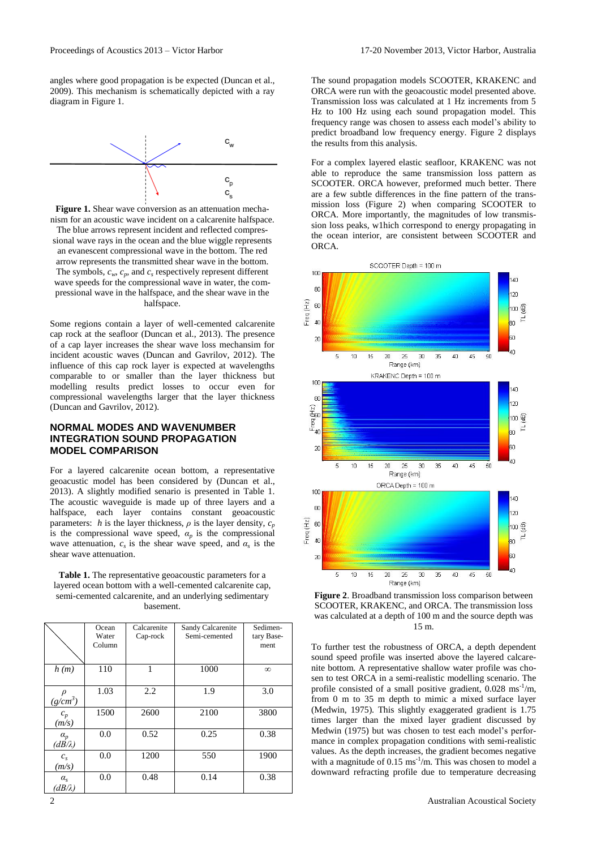angles where good propagation is be expected (Duncan et al., 2009). This mechanism is schematically depicted with a ray diagram in Figure 1.



**Figure 1.** Shear wave conversion as an attenuation mechanism for an acoustic wave incident on a calcarenite halfspace. The blue arrows represent incident and reflected compressional wave rays in the ocean and the blue wiggle represents an evanescent compressional wave in the bottom. The red arrow represents the transmitted shear wave in the bottom. The symbols,  $c_w$ ,  $c_p$ , and  $c_s$  respectively represent different wave speeds for the compressional wave in water, the compressional wave in the halfspace, and the shear wave in the halfspace.

Some regions contain a layer of well-cemented calcarenite cap rock at the seafloor (Duncan et al., 2013). The presence of a cap layer increases the shear wave loss mechansim for incident acoustic waves (Duncan and Gavrilov, 2012). The influence of this cap rock layer is expected at wavelengths comparable to or smaller than the layer thickness but modelling results predict losses to occur even for compressional wavelengths larger that the layer thickness (Duncan and Gavrilov, 2012).

#### **NORMAL MODES AND WAVENUMBER INTEGRATION SOUND PROPAGATION MODEL COMPARISON**

For a layered calcarenite ocean bottom, a representative geoacustic model has been considered by (Duncan et al., 2013). A slightly modified senario is presented in Table 1. The acoustic waveguide is made up of three layers and a halfspace, each layer contains constant geoacoustic parameters: *h* is the layer thickness,  $\rho$  is the layer density,  $c_p$ is the compressional wave speed,  $\alpha_p$  is the compressional wave attenuation,  $c_s$  is the shear wave speed, and  $\alpha_s$  is the shear wave attenuation.

**Table 1.** The representative geoacoustic parameters for a layered ocean bottom with a well-cemented calcarenite cap, semi-cemented calcarenite, and an underlying sedimentary basement.

|                                               | Ocean<br>Water<br>Column | Calcarenite<br>Cap-rock | Sandy Calcarenite<br>Semi-cemented | Sedimen-<br>tary Base-<br>ment |
|-----------------------------------------------|--------------------------|-------------------------|------------------------------------|--------------------------------|
| h(m)                                          | 110                      | 1                       | 1000                               | $\infty$                       |
| $(g/cm^3)$                                    | 1.03                     | 2.2                     | 1.9                                | 3.0                            |
| $c_p$<br>(m/s)                                | 1500                     | 2600                    | 2100                               | 3800                           |
| $\alpha_p$<br>$(d\overrightarrow{B}/\lambda)$ | 0.0                      | 0.52                    | 0.25                               | 0.38                           |
| $c_{s}$<br>(m/s)                              | 0.0                      | 1200                    | 550                                | 1900                           |
| $\alpha_{s}$<br>$(dB/\lambda)$                | 0.0                      | 0.48                    | 0.14                               | 0.38                           |

The sound propagation models SCOOTER, KRAKENC and ORCA were run with the geoacoustic model presented above. Transmission loss was calculated at 1 Hz increments from 5 Hz to 100 Hz using each sound propagation model. This frequency range was chosen to assess each model's ability to predict broadband low frequency energy. Figure 2 displays the results from this analysis.

For a complex layered elastic seafloor, KRAKENC was not able to reproduce the same transmission loss pattern as SCOOTER. ORCA however, preformed much better. There are a few subtle differences in the fine pattern of the transmission loss (Figure 2) when comparing SCOOTER to ORCA. More importantly, the magnitudes of low transmission loss peaks, w1hich correspond to energy propagating in the ocean interior, are consistent between SCOOTER and ORCA.



**Figure 2**. Broadband transmission loss comparison between SCOOTER, KRAKENC, and ORCA. The transmission loss was calculated at a depth of 100 m and the source depth was 15 m.

To further test the robustness of ORCA, a depth dependent sound speed profile was inserted above the layered calcarenite bottom. A representative shallow water profile was chosen to test ORCA in a semi-realistic modelling scenario. The profile consisted of a small positive gradient,  $0.028 \text{ ms}^{-1/m}$ , from 0 m to 35 m depth to mimic a mixed surface layer (Medwin, 1975). This slightly exaggerated gradient is 1.75 times larger than the mixed layer gradient discussed by Medwin (1975) but was chosen to test each model's performance in complex propagation conditions with semi-realistic values. As the depth increases, the gradient becomes negative with a magnitude of  $0.15 \text{ ms}^{-1}\text{/m}$ . This was chosen to model a downward refracting profile due to temperature decreasing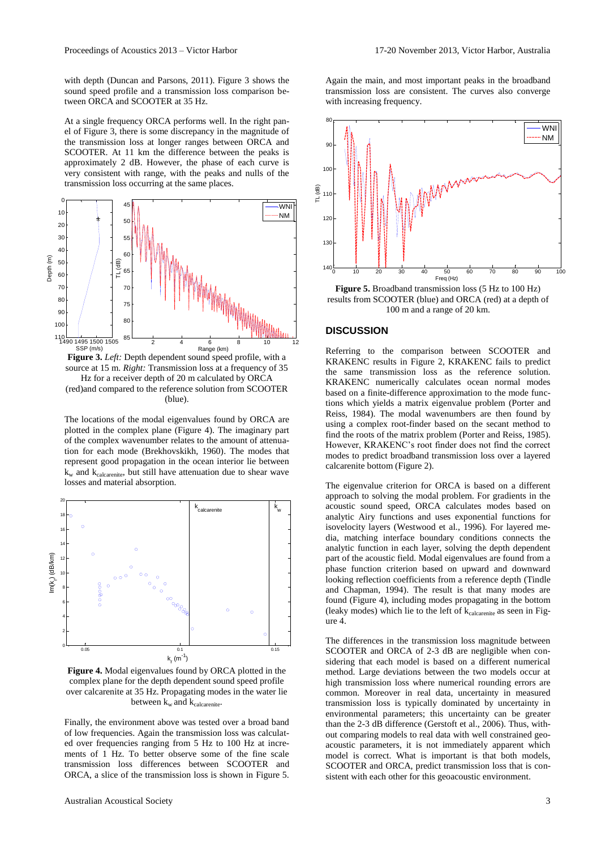with depth [\(Duncan and Parsons, 2011\)](#page-3-7). Figure 3 shows the sound speed profile and a transmission loss comparison between ORCA and SCOOTER at 35 Hz.

At a single frequency ORCA performs well. In the right panel of Figure 3, there is some discrepancy in the magnitude of the transmission loss at longer ranges between ORCA and SCOOTER. At 11 km the difference between the peaks is approximately 2 dB. However, the phase of each curve is very consistent with range, with the peaks and nulls of the transmission loss occurring at the same places.



source at 15 m. *Right:* Transmission loss at a frequency of 35 Hz for a receiver depth of 20 m calculated by ORCA (red)and compared to the reference solution from SCOOTER (blue).

The locations of the modal eigenvalues found by ORCA are plotted in the complex plane (Figure 4). The imaginary part of the complex wavenumber relates to the amount of attenuation for each mode (Brekhovskikh, 1960). The modes that represent good propagation in the ocean interior lie between  $k_{w}$  and  $k_{\text{calcarente}}$ , but still have attenuation due to shear wave losses and material absorption.



**Figure 4.** Modal eigenvalues found by ORCA plotted in the complex plane for the depth dependent sound speed profile over calcarenite at 35 Hz. Propagating modes in the water lie between  $k_w$  and  $k_{\text{calcarentie}}$ .

Finally, the environment above was tested over a broad band of low frequencies. Again the transmission loss was calculated over frequencies ranging from 5 Hz to 100 Hz at increments of 1 Hz. To better observe some of the fine scale transmission loss differences between SCOOTER and ORCA, a slice of the transmission loss is shown in Figure 5.

Again the main, and most important peaks in the broadband transmission loss are consistent. The curves also converge with increasing frequency.



**Figure 5.** Broadband transmission loss (5 Hz to 100 Hz) results from SCOOTER (blue) and ORCA (red) at a depth of 100 m and a range of 20 km.

#### **DISCUSSION**

Referring to the comparison between SCOOTER and KRAKENC results in Figure 2, KRAKENC fails to predict the same transmission loss as the reference solution. KRAKENC numerically calculates ocean normal modes based on a finite-difference approximation to the mode functions which yields a matrix eigenvalue problem [\(Porter and](#page-3-8)  [Reiss, 1984\)](#page-3-8). The modal wavenumbers are then found by using a complex root-finder based on the secant method to find the roots of the matrix problem [\(Porter and Reiss, 1985\)](#page-3-9). However, KRAKENC's root finder does not find the correct modes to predict broadband transmission loss over a layered calcarenite bottom (Figure 2).

The eigenvalue criterion for ORCA is based on a different approach to solving the modal problem. For gradients in the acoustic sound speed, ORCA calculates modes based on analytic Airy functions and uses exponential functions for isovelocity layers [\(Westwood et al., 1996\)](#page-3-6). For layered media, matching interface boundary conditions connects the analytic function in each layer, solving the depth dependent part of the acoustic field. Modal eigenvalues are found from a phase function criterion based on upward and downward looking reflection coefficients from a reference depth [\(Tindle](#page-3-10)  [and Chapman, 1994\)](#page-3-10). The result is that many modes are found (Figure 4), including modes propagating in the bottom (leaky modes) which lie to the left of k<sub>calcarenite</sub> as seen in Figure 4.

The differences in the transmission loss magnitude between SCOOTER and ORCA of 2-3 dB are negligible when considering that each model is based on a different numerical method. Large deviations between the two models occur at high transmission loss where numerical rounding errors are common. Moreover in real data, uncertainty in measured transmission loss is typically dominated by uncertainty in environmental parameters; this uncertainty can be greater than the 2-3 dB difference [\(Gerstoft et al., 2006\)](#page-3-11). Thus, without comparing models to real data with well constrained geoacoustic parameters, it is not immediately apparent which model is correct. What is important is that both models, SCOOTER and ORCA, predict transmission loss that is consistent with each other for this geoacoustic environment.